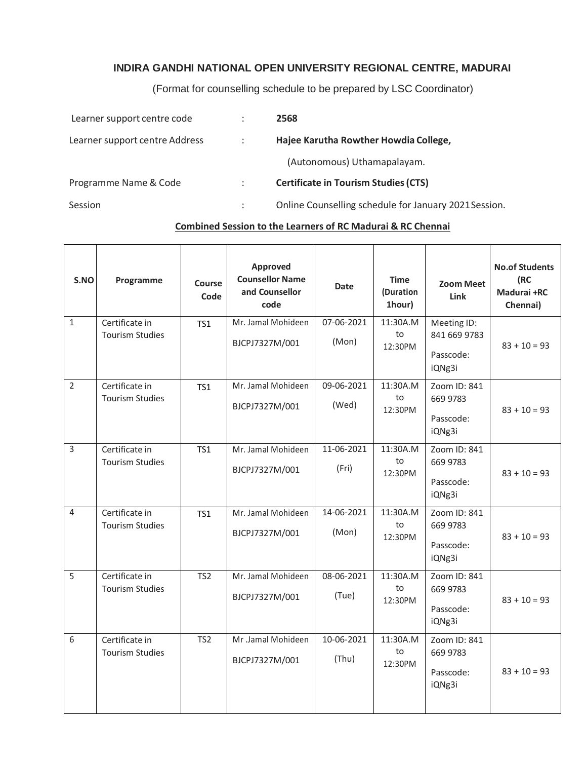## **INDIRA GANDHI NATIONAL OPEN UNIVERSITY REGIONAL CENTRE, MADURAI**

(Format for counselling schedule to be prepared by LSC Coordinator)

| Learner support centre code    | 2568                                                  |
|--------------------------------|-------------------------------------------------------|
| Learner support centre Address | Hajee Karutha Rowther Howdia College,                 |
|                                | (Autonomous) Uthamapalayam.                           |
| Programme Name & Code          | <b>Certificate in Tourism Studies (CTS)</b>           |
| Session                        | Online Counselling schedule for January 2021 Session. |

## **Combined Session to the Learners of RC Madurai & RC Chennai**

| S.NO           | Programme                                | Course<br>Code  | Approved<br><b>Counsellor Name</b><br>and Counsellor<br>code | <b>Date</b>         | <b>Time</b><br>(Duration<br>1hour) | <b>Zoom Meet</b><br><b>Link</b>                    | <b>No.of Students</b><br>(RC<br>Madurai +RC<br>Chennai) |
|----------------|------------------------------------------|-----------------|--------------------------------------------------------------|---------------------|------------------------------------|----------------------------------------------------|---------------------------------------------------------|
| $\mathbf 1$    | Certificate in<br><b>Tourism Studies</b> | <b>TS1</b>      | Mr. Jamal Mohideen<br>BJCPJ7327M/001                         | 07-06-2021<br>(Mon) | 11:30A.M<br>to<br>12:30PM          | Meeting ID:<br>841 669 9783<br>Passcode:<br>iQNg3i | $83 + 10 = 93$                                          |
| $\overline{2}$ | Certificate in<br><b>Tourism Studies</b> | TS <sub>1</sub> | Mr. Jamal Mohideen<br>BJCPJ7327M/001                         | 09-06-2021<br>(Wed) | 11:30A.M<br>to<br>12:30PM          | Zoom ID: 841<br>669 9783<br>Passcode:<br>iQNg3i    | $83 + 10 = 93$                                          |
| $\overline{3}$ | Certificate in<br><b>Tourism Studies</b> | TS1             | Mr. Jamal Mohideen<br>BJCPJ7327M/001                         | 11-06-2021<br>(Fri) | 11:30A.M<br>to<br>12:30PM          | Zoom ID: 841<br>669 9783<br>Passcode:<br>iQNg3i    | $83 + 10 = 93$                                          |
| $\overline{4}$ | Certificate in<br><b>Tourism Studies</b> | TS1             | Mr. Jamal Mohideen<br>BJCPJ7327M/001                         | 14-06-2021<br>(Mon) | 11:30A.M<br>to<br>12:30PM          | Zoom ID: 841<br>669 9783<br>Passcode:<br>iQNg3i    | $83 + 10 = 93$                                          |
| 5              | Certificate in<br><b>Tourism Studies</b> | TS <sub>2</sub> | Mr. Jamal Mohideen<br>BJCPJ7327M/001                         | 08-06-2021<br>(Tue) | 11:30A.M<br>to<br>12:30PM          | Zoom ID: 841<br>669 9783<br>Passcode:<br>iQNg3i    | $83 + 10 = 93$                                          |
| 6              | Certificate in<br><b>Tourism Studies</b> | TS <sub>2</sub> | Mr .Jamal Mohideen<br>BJCPJ7327M/001                         | 10-06-2021<br>(Thu) | 11:30A.M<br>to<br>12:30PM          | Zoom ID: 841<br>669 9783<br>Passcode:<br>iQNg3i    | $83 + 10 = 93$                                          |